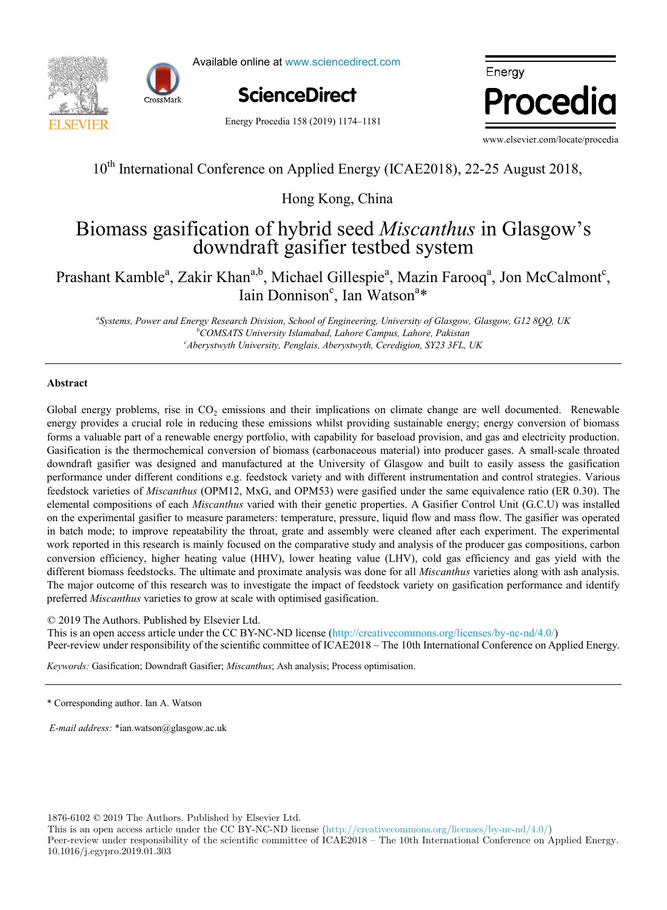



Available online at www.sciencedirect.com

**ScienceDirect** ScienceDirect

Energy Procedia 158 (2019) 1174–1181



www.elsevier.com/locate/procedia

# $10<sup>th</sup>$  International Conference on Applied Energy (ICAE2018), 22-25 August 2018, 22-25 August 2018, 22-25 August 2018, 22-25 August 2018, 22-25 August 2018, 22-25 August 2018, 22-25 August 2018, 22-25 August 2018, 22 10<sup>th</sup> International Conference on Applied Energy (ICAE2018), 22-25 August 2018,

 $\mathbf{H} = \mathbf{H} \cdot \mathbf{H}$ Hong Kong, China

# $T_{\text{eq}}$  and  $\hat{t}_{\text{eq}}$  on  $\hat{t}_{\text{eq}}$  of hypotric and Misconthus in Class downdraft gasifier testoed system Biomass gasification of hybrid seed *Miscanthus* in Glasgow's Biomass gasification of hybrid seed *Miscanthus* in Glasgow's downdraft gasifier testbed system

#### rashant Kamble<sup>a</sup>, Zakir Khan<sup>a, U</sup>, Michael Gillespie<sup>a</sup>, Mazin Farooq<sup>a</sup>, Jon McCalmont<sup>c</sup>, prashant Michael Gilles pieces and Males pieces and Calmondal Company and Males products of the state of the state of the state of the state of the state of the state of the state of the state of the state of the state of Prashant Kamble<sup>a</sup>, Zakir Khan<sup>a,b</sup>, Michael Gillespie<sup>a</sup>, Mazin Farooq<sup>a</sup>, Jon McCalmont<sup>c</sup>, Iain Donnison<sup>c</sup>, Ian Watson<sup>a\*</sup>

"Systems, Power and Energy Research Division, School of Engineering, University of Glasgow, Glasgow, G12 8QQ, UK <sup>c</sup>Aberystwyth University, Penglais, Aberystwyth, Ceredigion, SY23 3FL, UK *Veolia Recherche & Innovation, 291 Avenue Dreyfous Daniel, 78520 Limay, France Aberystwyth University, Penglais, Aberystwyth, Ceredigion, SY23 3FL, UK b COMSATS University Islamabad, Lahore Campus, Lahore, Pakistan*

*Département Systèmes Énergétiques et Environnement - IMT Atlantique, 4 rue Alfred Kastler, 44300 Nantes, France*

## **Abstract**

*c*

About the gy problems, rise in  $\sigma_{22}$  emissions and their impreditions on emittac entarge are wen documented. Renewable energy provides a crucial role in reducing these emissions whilst providing sustainable energy; ener Gasification is the thermochemical conversion of biomass (carbonaceous material) into producer gases. A small-scale throated downdraft gasifier was designed and manufactured at the University of Glasgow and built to easily assess the gasification performance under different conditions e.g. feedstock variety and with different instrumentation and control strategies. Various performance ander american conductions e.g. reducted variety and with direction instrumentation and compositions of *Miscanthus* (OPM12, MxG, and OPM53) were gasified under the same equivalence ratio (ER 0.30). The elemental compositions of each *Miscanthus* varied with their genetic properties. A Gasifier Control Unit (G.C.U) was installed on the experimental gasifier to measure parameters: temperature, pressure, liquid flow and mass flow. The gasifier was operated in batch mode; to improve repeatability the throat, grate and assembly were cleaned after each experiment. The experimental work reported in this research is mainly focused on the comparative study and analysis of the producer gas compositions, carbon work reported in this research is mainly focused on the comparative study and analysis of the conversion efficiency, higher heating value (HHV), lower heating value (LHV), cold gas efficiency and gas yield with the different biomass feedstocks. The ultimate and proximate analysis was done for all *Miscanthus* varieties along with ash analysis. The major outcome of this research was to investigate the impact of feedstock variety on gasification performance and identify scenarios centralizados e un tenerarios en error value de provativos computados en extensivale en extensivale de mandatos como seguido antes en extensivale de mandatos como establecerra como establecerra en extensivale de preferred *Miscanthus* varieties to grow at scale with optimised gasification. Global energy problems, rise in  $CO<sub>2</sub>$  emissions and their implications on climate change are well documented. Renewable forms a valuable part of a renewable energy portfolio, with capability for baseload provision, and gas and electricity production. Global energy problems, rise in CO<sub>2</sub> emissions and their implications on climate change are well documented. Renewable<br>energy provides a crucial role in reducing these emissions whilst providing sustainable energy, energ

© 2019 The Authors. Published by Elsevier Ltd.

© 2017 The Authors. Published by Elsevier Ltd.

C 2019 The Authors. Published by Elsevier Ltd.<br>This is an open access article under the CC BY-NC-ND license (http://creativecommons.org/licenses/by-nc-nd/4.0/) This is an open access article under the CC B T-NC-ND ficense (http://creativecommons.org/ficenses/by-fic-fid/4.0/)<br>Peer-review under responsibility of the scientific committee of ICAE2018 – The 10th International Conferen

improve the accuracy of heat demand estimations. *Keywords:* Gasification; Downdraft Gasifier; *Miscanthus*; Ash analysis; Process optimisation. *Keywords:* Gasification; Downdraft Gasifier; *Miscanthus*; Ash analysis; Process optimisation.

*E-mail address:* \*ian.watson@glasgow.ac.uk

1876-6102 © 2019 The Authors. Published by Elsevier Ltd.

This is an open access article under the CC BY-NC-ND license (http://creativecommons.org/licenses/by-nc-nd/4.0/) Peer-review under responsibility of the scientific committee of ICAE2018 – The 10th International Conference on Applied Energy. 10.1016/j.egypro.2019.01.303

<sup>\*</sup> Corresponding author. Ian A. Watson Cooling.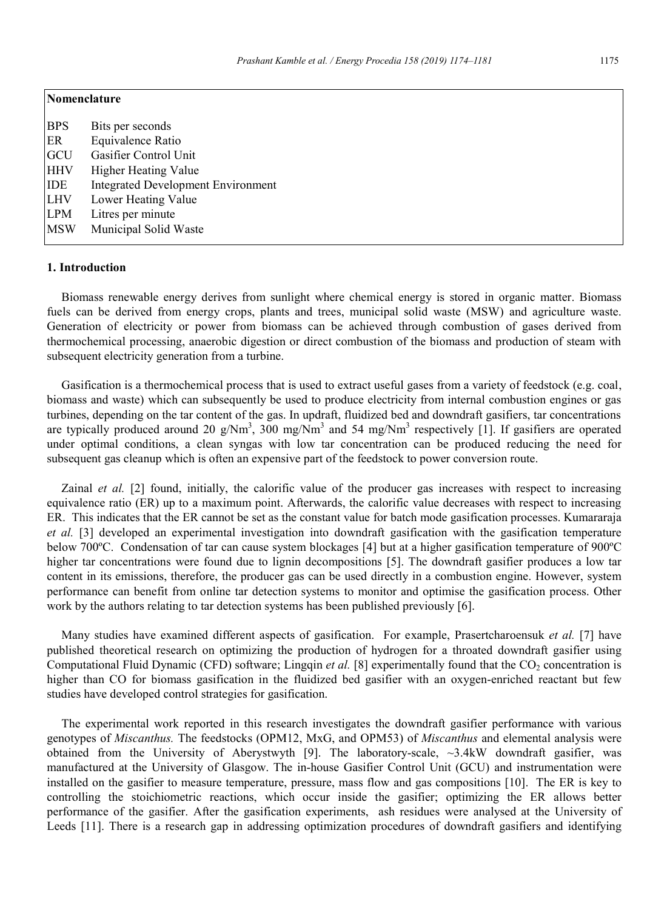| Nomenclature |                                           |
|--------------|-------------------------------------------|
| <b>BPS</b>   | Bits per seconds                          |
| ER           | Equivalence Ratio                         |
| GCU          | Gasifier Control Unit                     |
| <b>HHV</b>   | <b>Higher Heating Value</b>               |
| <b>IDE</b>   | <b>Integrated Development Environment</b> |
| <b>LHV</b>   | Lower Heating Value                       |
| <b>LPM</b>   | Litres per minute                         |
| <b>MSW</b>   | Municipal Solid Waste                     |
|              |                                           |

# **1. Introduction**

Biomass renewable energy derives from sunlight where chemical energy is stored in organic matter. Biomass fuels can be derived from energy crops, plants and trees, municipal solid waste (MSW) and agriculture waste. Generation of electricity or power from biomass can be achieved through combustion of gases derived from thermochemical processing, anaerobic digestion or direct combustion of the biomass and production of steam with subsequent electricity generation from a turbine.

Gasification is a thermochemical process that is used to extract useful gases from a variety of feedstock (e.g. coal, biomass and waste) which can subsequently be used to produce electricity from internal combustion engines or gas turbines, depending on the tar content of the gas. In updraft, fluidized bed and downdraft gasifiers, tar concentrations are typically produced around 20 g/Nm<sup>3</sup>, 300 mg/Nm<sup>3</sup> and 54 mg/Nm<sup>3</sup> respectively [1]. If gasifiers are operated under optimal conditions, a clean syngas with low tar concentration can be produced reducing the need for subsequent gas cleanup which is often an expensive part of the feedstock to power conversion route.

Zainal *et al.* [2] found, initially, the calorific value of the producer gas increases with respect to increasing equivalence ratio (ER) up to a maximum point. Afterwards, the calorific value decreases with respect to increasing ER. This indicates that the ER cannot be set as the constant value for batch mode gasification processes. Kumararaja *et al.* [3] developed an experimental investigation into downdraft gasification with the gasification temperature below 700ºC. Condensation of tar can cause system blockages [4] but at a higher gasification temperature of 900ºC higher tar concentrations were found due to lignin decompositions [5]. The downdraft gasifier produces a low tar content in its emissions, therefore, the producer gas can be used directly in a combustion engine. However, system performance can benefit from online tar detection systems to monitor and optimise the gasification process. Other work by the authors relating to tar detection systems has been published previously [6].

Many studies have examined different aspects of gasification. For example, Prasertcharoensuk *et al.* [7] have published theoretical research on optimizing the production of hydrogen for a throated downdraft gasifier using Computational Fluid Dynamic (CFD) software; Lingqin *et al.* [8] experimentally found that the CO<sub>2</sub> concentration is higher than CO for biomass gasification in the fluidized bed gasifier with an oxygen-enriched reactant but few studies have developed control strategies for gasification.

The experimental work reported in this research investigates the downdraft gasifier performance with various genotypes of *Miscanthus.* The feedstocks (OPM12, MxG, and OPM53) of *Miscanthus* and elemental analysis were obtained from the University of Aberystwyth [9]. The laboratory-scale, ~3.4kW downdraft gasifier, was manufactured at the University of Glasgow. The in-house Gasifier Control Unit (GCU) and instrumentation were installed on the gasifier to measure temperature, pressure, mass flow and gas compositions [10]. The ER is key to controlling the stoichiometric reactions, which occur inside the gasifier; optimizing the ER allows better performance of the gasifier. After the gasification experiments, ash residues were analysed at the University of Leeds [11]. There is a research gap in addressing optimization procedures of downdraft gasifiers and identifying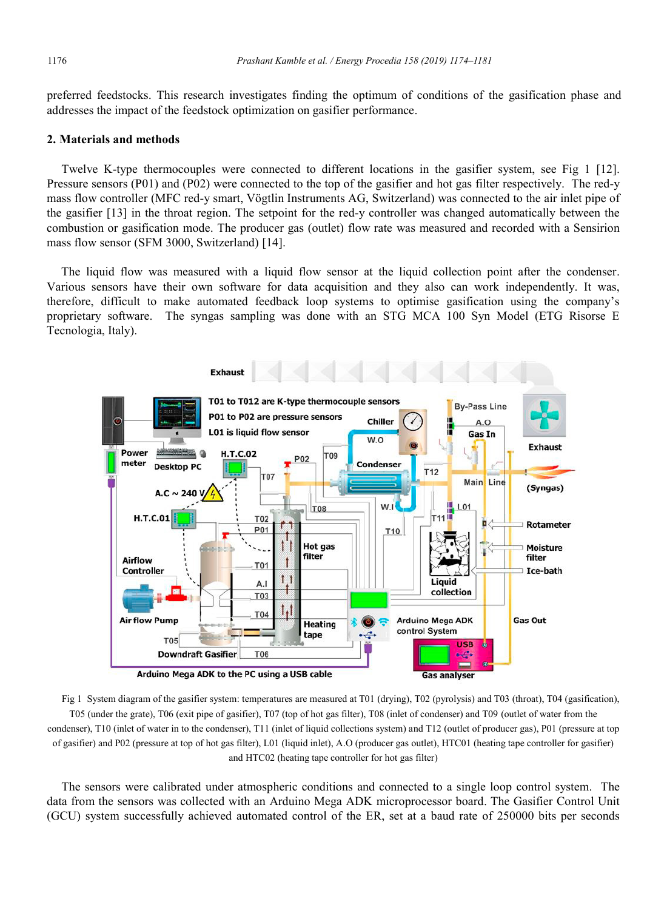preferred feedstocks. This research investigates finding the optimum of conditions of the gasification phase and addresses the impact of the feedstock optimization on gasifier performance.

#### **2. Materials and methods**

Twelve K-type thermocouples were connected to different locations in the gasifier system, see Fig 1 [12]. Pressure sensors (P01) and (P02) were connected to the top of the gasifier and hot gas filter respectively. The red-y mass flow controller (MFC red-y smart, Vögtlin Instruments AG, Switzerland) was connected to the air inlet pipe of the gasifier [13] in the throat region. The setpoint for the red-y controller was changed automatically between the combustion or gasification mode. The producer gas (outlet) flow rate was measured and recorded with a Sensirion mass flow sensor (SFM 3000, Switzerland) [14].

The liquid flow was measured with a liquid flow sensor at the liquid collection point after the condenser. Various sensors have their own software for data acquisition and they also can work independently. It was, therefore, difficult to make automated feedback loop systems to optimise gasification using the company's proprietary software. The syngas sampling was done with an STG MCA 100 Syn Model (ETG Risorse E Tecnologia, Italy).



Fig 1 System diagram of the gasifier system: temperatures are measured at T01 (drying), T02 (pyrolysis) and T03 (throat), T04 (gasification), T05 (under the grate), T06 (exit pipe of gasifier), T07 (top of hot gas filter), T08 (inlet of condenser) and T09 (outlet of water from the condenser), T10 (inlet of water in to the condenser), T11 (inlet of liquid collections system) and T12 (outlet of producer gas), P01 (pressure at top of gasifier) and P02 (pressure at top of hot gas filter), L01 (liquid inlet), A.O (producer gas outlet), HTC01 (heating tape controller for gasifier) and HTC02 (heating tape controller for hot gas filter)

The sensors were calibrated under atmospheric conditions and connected to a single loop control system. The data from the sensors was collected with an Arduino Mega ADK microprocessor board. The Gasifier Control Unit (GCU) system successfully achieved automated control of the ER, set at a baud rate of 250000 bits per seconds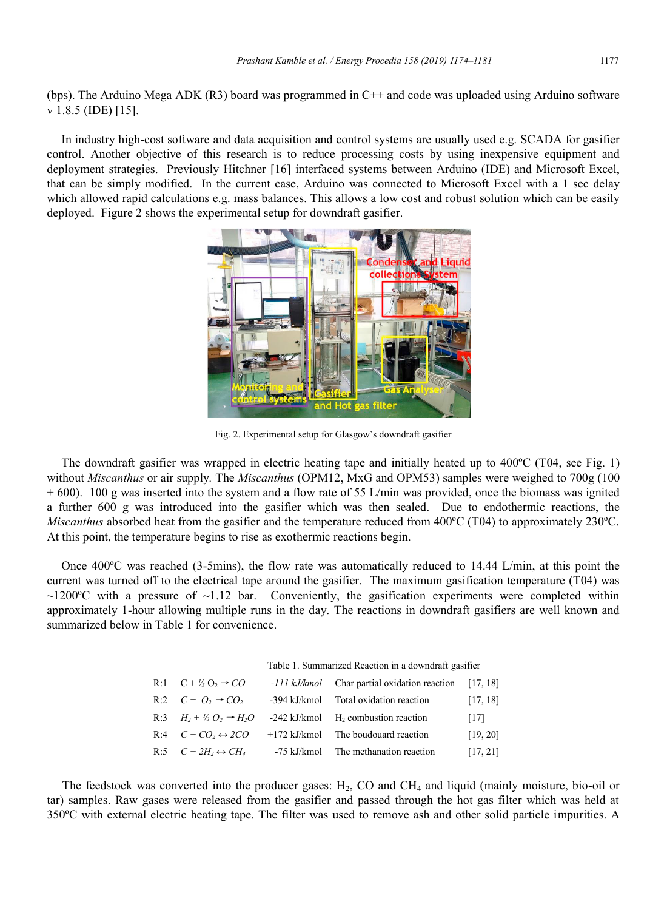(bps). The Arduino Mega ADK (R3) board was programmed in  $C++$  and code was uploaded using Arduino software v 1.8.5 (IDE) [15].

In industry high-cost software and data acquisition and control systems are usually used e.g. SCADA for gasifier control. Another objective of this research is to reduce processing costs by using inexpensive equipment and deployment strategies. Previously Hitchner [16] interfaced systems between Arduino (IDE) and Microsoft Excel, that can be simply modified. In the current case, Arduino was connected to Microsoft Excel with a 1 sec delay which allowed rapid calculations e.g. mass balances. This allows a low cost and robust solution which can be easily deployed. Figure 2 shows the experimental setup for downdraft gasifier.



Fig. 2. Experimental setup for Glasgow's downdraft gasifier

The downdraft gasifier was wrapped in electric heating tape and initially heated up to 400ºC (T04, see Fig. 1) without *Miscanthus* or air supply*.* The *Miscanthus* (OPM12, MxG and OPM53) samples were weighed to 700g (100 + 600). 100 g was inserted into the system and a flow rate of 55 L/min was provided, once the biomass was ignited a further 600 g was introduced into the gasifier which was then sealed. Due to endothermic reactions, the *Miscanthus* absorbed heat from the gasifier and the temperature reduced from 400ºC (T04) to approximately 230ºC. At this point, the temperature begins to rise as exothermic reactions begin.

Once 400ºC was reached (3-5mins), the flow rate was automatically reduced to 14.44 L/min, at this point the current was turned off to the electrical tape around the gasifier. The maximum gasification temperature (T04) was  $\sim$ 1200°C with a pressure of  $\sim$ 1.12 bar. Conveniently, the gasification experiments were completed within approximately 1-hour allowing multiple runs in the day. The reactions in downdraft gasifiers are well known and summarized below in Table 1 for convenience.

|     | Table 1. Summarized Reaction in a downdraft gasifier |                |                                                       |          |  |  |  |  |  |  |  |
|-----|------------------------------------------------------|----------------|-------------------------------------------------------|----------|--|--|--|--|--|--|--|
|     | R:1 $C + \frac{1}{2}O_2 \rightarrow CO$              |                | -111 kJ/kmol Char partial oxidation reaction [17, 18] |          |  |  |  |  |  |  |  |
|     | R:2 $C + O_2 \rightarrow CO_2$                       | -394 kJ/kmol   | Total oxidation reaction                              | [17, 18] |  |  |  |  |  |  |  |
| R:3 | $H_2 + \frac{1}{2}Q_2 \rightarrow H_2O$              |                | -242 kJ/kmol $H_2$ combustion reaction                | $[17]$   |  |  |  |  |  |  |  |
| R:4 | $C + CO_2 \leftrightarrow 2CO$                       | $+172$ kJ/kmol | The boudouard reaction                                | [19, 20] |  |  |  |  |  |  |  |
|     | R:5 $C + 2H_2 \leftrightarrow CH_4$                  | -75 kJ/kmol    | The methanation reaction                              | [17, 21] |  |  |  |  |  |  |  |

The feedstock was converted into the producer gases:  $H_2$ , CO and CH<sub>4</sub> and liquid (mainly moisture, bio-oil or tar) samples. Raw gases were released from the gasifier and passed through the hot gas filter which was held at 350ºC with external electric heating tape. The filter was used to remove ash and other solid particle impurities. A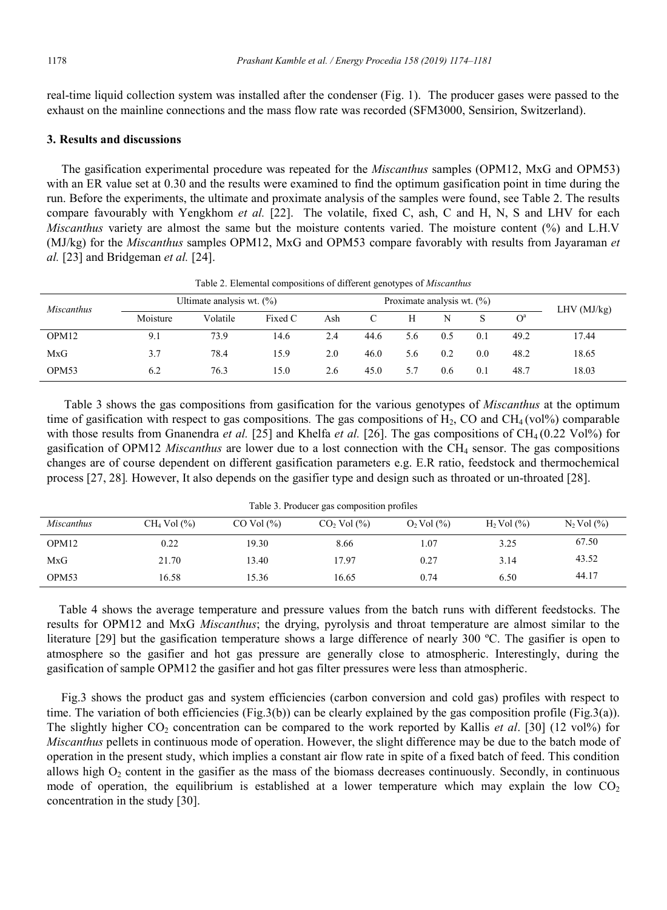real-time liquid collection system was installed after the condenser (Fig. 1). The producer gases were passed to the exhaust on the mainline connections and the mass flow rate was recorded (SFM3000, Sensirion, Switzerland).

## **3. Results and discussions**

The gasification experimental procedure was repeated for the *Miscanthus* samples (OPM12, MxG and OPM53) with an ER value set at 0.30 and the results were examined to find the optimum gasification point in time during the run. Before the experiments, the ultimate and proximate analysis of the samples were found, see Table 2. The results compare favourably with Yengkhom *et al.* [22]. The volatile, fixed C, ash, C and H, N, S and LHV for each *Miscanthus* variety are almost the same but the moisture contents varied. The moisture content (%) and L.H.V (MJ/kg) for the *Miscanthus* samples OPM12, MxG and OPM53 compare favorably with results from Jayaraman *et al.* [23] and Bridgeman *et al.* [24].

|                   |          |                              |         |     |      | --                            |            |     |                |       |
|-------------------|----------|------------------------------|---------|-----|------|-------------------------------|------------|-----|----------------|-------|
| <i>Miscanthus</i> |          | Ultimate analysis wt. $(\%)$ |         |     |      | Proximate analysis wt. $(\%)$ | LHV(MJ/kg) |     |                |       |
|                   | Moisture | Volatile                     | Fixed C | Ash |      | H                             | N          |     | O <sup>a</sup> |       |
| OPM12             | 9.1      | 73.9                         | 14.6    | 2.4 | 44.6 | 5.6                           | 0.5        | 0.1 | 49.2           | 17.44 |
| MxG               | 3.7      | 78.4                         | 15.9    | 2.0 | 46.0 | 5.6                           | 0.2        | 0.0 | 48.2           | 18.65 |
| OPM <sub>53</sub> | 6.2      | 76.3                         | 15.0    | 2.6 | 45.0 | 5.7                           | 0.6        | 0.1 | 48.7           | 18.03 |

Table 2. Elemental compositions of different genotypes of *Miscanthus*

Table 3 shows the gas compositions from gasification for the various genotypes of *Miscanthus* at the optimum time of gasification with respect to gas compositions. The gas compositions of H<sub>2</sub>, CO and CH<sub>4</sub> (vol%) comparable with those results from Gnanendra *et al.* [25] and Khelfa *et al.* [26]. The gas compositions of CH<sub>4</sub> (0.22 Vol%) for gasification of OPM12 *Miscanthus* are lower due to a lost connection with the CH4 sensor. The gas compositions changes are of course dependent on different gasification parameters e.g. E.R ratio, feedstock and thermochemical process [27, 28]*.* However, It also depends on the gasifier type and design such as throated or un-throated [28].

| Table 3. Producer gas composition profiles |                   |                  |                   |                   |                   |                   |  |  |  |  |  |
|--------------------------------------------|-------------------|------------------|-------------------|-------------------|-------------------|-------------------|--|--|--|--|--|
| <i>Miscanthus</i>                          | $CH4$ Vol $(\% )$ | $CO$ Vol $(\% )$ | $CO2$ Vol $(\%$ ) | $O_2$ Vol $(\% )$ | $H_2$ Vol $(\% )$ | $N_2$ Vol $(\% )$ |  |  |  |  |  |
| OPM <sub>12</sub>                          | 0.22              | 19.30            | 8.66              | $\pm 07$          | 3.25              | 67.50             |  |  |  |  |  |
| MxG                                        | 21.70             | 13.40            | 17.97             | 0.27              | 3.14              | 43.52             |  |  |  |  |  |
| OPM <sub>53</sub>                          | 16.58             | 15.36            | 16.65             | 0.74              | 6.50              | 44.17             |  |  |  |  |  |

Table 3. Producer gas composition profiles

 Table 4 shows the average temperature and pressure values from the batch runs with different feedstocks. The results for OPM12 and MxG *Miscanthus*; the drying, pyrolysis and throat temperature are almost similar to the literature [29] but the gasification temperature shows a large difference of nearly 300 ºC. The gasifier is open to atmosphere so the gasifier and hot gas pressure are generally close to atmospheric. Interestingly, during the gasification of sample OPM12 the gasifier and hot gas filter pressures were less than atmospheric.

Fig.3 shows the product gas and system efficiencies (carbon conversion and cold gas) profiles with respect to time. The variation of both efficiencies (Fig.3(b)) can be clearly explained by the gas composition profile (Fig.3(a)). The slightly higher  $CO_2$  concentration can be compared to the work reported by Kallis *et al.* [30] (12 vol%) for *Miscanthus* pellets in continuous mode of operation. However, the slight difference may be due to the batch mode of operation in the present study, which implies a constant air flow rate in spite of a fixed batch of feed. This condition allows high  $O_2$  content in the gasifier as the mass of the biomass decreases continuously. Secondly, in continuous mode of operation, the equilibrium is established at a lower temperature which may explain the low  $CO<sub>2</sub>$ concentration in the study [30].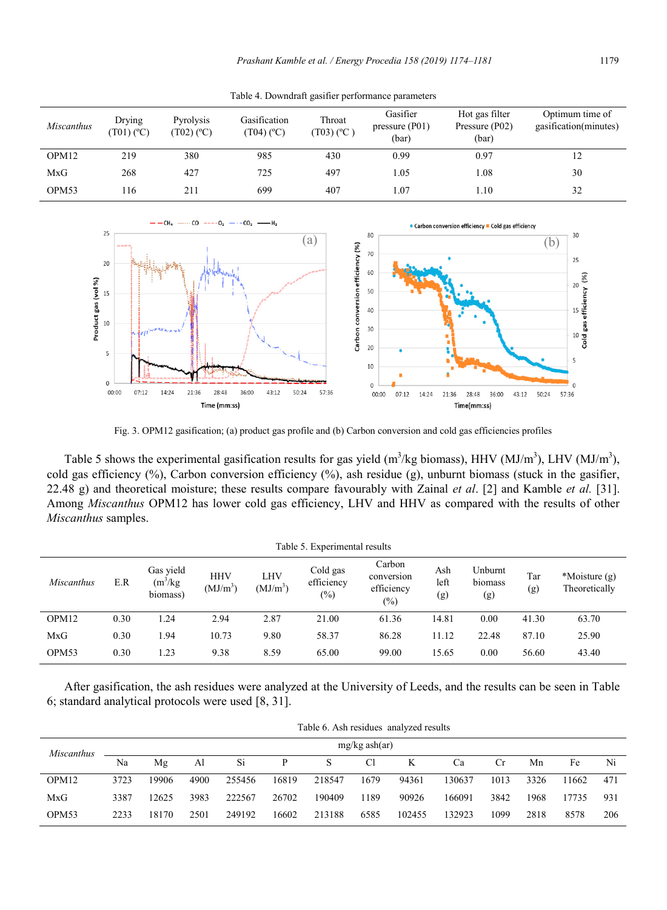| <i>Miscanthus</i> | Drying<br>$(T01)$ (°C) | Pyrolysis<br>$(T02)$ (°C) | Gasification<br>(T04) (°C) | Throat<br>$(T03)$ (°C) | Gasifier<br>pressure $(1)$<br>(bar) | Hot gas filter<br>Pressure (P02)<br>(bar) | Optimum time of<br>gasification(minutes) |
|-------------------|------------------------|---------------------------|----------------------------|------------------------|-------------------------------------|-------------------------------------------|------------------------------------------|
| OPM12             | 219                    | 380                       | 985                        | 430                    | 0.99                                | 0.97                                      | 12                                       |
| MxG               | 268                    | 427                       | 725                        | 497                    | 1.05                                | 1.08                                      | 30                                       |
| OPM53             | 16                     | 211                       | 699                        | 407                    | .07                                 | $1.10 -$                                  | 32                                       |

Table 4. Downdraft gasifier performance parameters



Fig. 3. OPM12 gasification; (a) product gas profile and (b) Carbon conversion and cold gas efficiencies profiles

Table 5 shows the experimental gasification results for gas yield  $(m^3/kg$  biomass), HHV (MJ/m<sup>3</sup>), LHV (MJ/m<sup>3</sup>), cold gas efficiency (%), Carbon conversion efficiency (%), ash residue (g), unburnt biomass (stuck in the gasifier, 22.48 g) and theoretical moisture; these results compare favourably with Zainal *et al*. [2] and Kamble *et al.* [31]. Among *Miscanthus* OPM12 has lower cold gas efficiency, LHV and HHV as compared with the results of other *Miscanthus* samples.

| Table 5. Experimental results |      |                                     |                                    |                                                                 |       |                                                     |                    |                           |            |                                |  |
|-------------------------------|------|-------------------------------------|------------------------------------|-----------------------------------------------------------------|-------|-----------------------------------------------------|--------------------|---------------------------|------------|--------------------------------|--|
| Miscanthus                    | E.R  | Gas yield<br>$(m^3/kg)$<br>biomass) | <b>HHV</b><br>(MJ/m <sup>3</sup> ) | Cold gas<br>LHV<br>efficiency<br>(MJ/m <sup>3</sup> )<br>$(\%)$ |       | Carbon<br>conversion<br>efficiency<br>$\frac{1}{2}$ | Ash<br>left<br>(g) | Unburnt<br>biomass<br>(g) | Tar<br>(g) | *Moisture (g)<br>Theoretically |  |
| OPM <sub>12</sub>             | 0.30 | 1.24                                | 2.94                               | 2.87                                                            | 21.00 | 61.36                                               | 14.81              | 0.00                      | 41.30      | 63.70                          |  |
| MxG                           | 0.30 | 1.94                                | 10.73                              | 9.80                                                            | 58.37 | 86.28                                               | 11.12              | 22.48                     | 87.10      | 25.90                          |  |
| OPM <sub>53</sub>             | 0.30 | 1.23                                | 9.38                               | 8.59                                                            | 65.00 | 99.00                                               | 15.65              | 0.00                      | 56.60      | 43.40                          |  |

After gasification, the ash residues were analyzed at the University of Leeds, and the results can be seen in Table 6; standard analytical protocols were used [8, 31].

|                   | Table 6. Ash residues analyzed results |       |      |        |       |        |      |        |        |      |      |       |     |
|-------------------|----------------------------------------|-------|------|--------|-------|--------|------|--------|--------|------|------|-------|-----|
| <i>Miscanthus</i> | $mg/kg$ ash $(ar)$                     |       |      |        |       |        |      |        |        |      |      |       |     |
|                   | Na                                     | Mε    | Al   | Si     | D     | S      | Cl   | K      | Ca     | Сr   | Mn   | Fe    | Ni  |
| OPM <sub>12</sub> | 3723                                   | 19906 | 4900 | 255456 | 16819 | 218547 | 1679 | 94361  | 130637 | 1013 | 3326 | 11662 | 471 |
| MxG               | 3387                                   | 12625 | 3983 | 222567 | 26702 | 190409 | 1189 | 90926  | 166091 | 3842 | 1968 | 17735 | 931 |
| OPM <sub>53</sub> | 2233                                   | 18170 | 2501 | 249192 | 16602 | 213188 | 6585 | 102455 | 132923 | 1099 | 2818 | 8578  | 206 |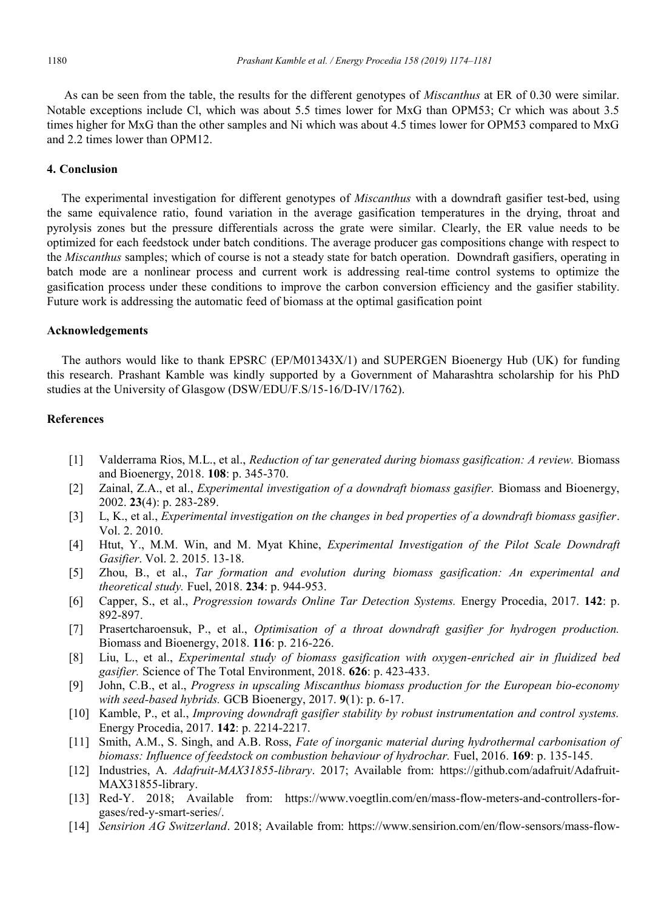As can be seen from the table, the results for the different genotypes of *Miscanthus* at ER of 0.30 were similar. Notable exceptions include Cl, which was about 5.5 times lower for MxG than OPM53; Cr which was about 3.5 times higher for MxG than the other samples and Ni which was about 4.5 times lower for OPM53 compared to MxG and 2.2 times lower than OPM12.

## **4. Conclusion**

The experimental investigation for different genotypes of *Miscanthus* with a downdraft gasifier test-bed, using the same equivalence ratio, found variation in the average gasification temperatures in the drying, throat and pyrolysis zones but the pressure differentials across the grate were similar. Clearly, the ER value needs to be optimized for each feedstock under batch conditions. The average producer gas compositions change with respect to the *Miscanthus* samples; which of course is not a steady state for batch operation. Downdraft gasifiers, operating in batch mode are a nonlinear process and current work is addressing real-time control systems to optimize the gasification process under these conditions to improve the carbon conversion efficiency and the gasifier stability. Future work is addressing the automatic feed of biomass at the optimal gasification point

## **Acknowledgements**

The authors would like to thank EPSRC (EP/M01343X/1) and SUPERGEN Bioenergy Hub (UK) for funding this research. Prashant Kamble was kindly supported by a Government of Maharashtra scholarship for his PhD studies at the University of Glasgow (DSW/EDU/F.S/15-16/D-IV/1762).

# **References**

- [1] Valderrama Rios, M.L., et al., *Reduction of tar generated during biomass gasification: A review.* Biomass and Bioenergy, 2018. **108**: p. 345-370.
- [2] Zainal, Z.A., et al., *Experimental investigation of a downdraft biomass gasifier.* Biomass and Bioenergy, 2002. **23**(4): p. 283-289.
- [3] L, K., et al., *Experimental investigation on the changes in bed properties of a downdraft biomass gasifier*. Vol. 2. 2010.
- [4] Htut, Y., M.M. Win, and M. Myat Khine, *Experimental Investigation of the Pilot Scale Downdraft Gasifier*. Vol. 2. 2015. 13-18.
- [5] Zhou, B., et al., *Tar formation and evolution during biomass gasification: An experimental and theoretical study.* Fuel, 2018. **234**: p. 944-953.
- [6] Capper, S., et al., *Progression towards Online Tar Detection Systems.* Energy Procedia, 2017. **142**: p. 892-897.
- [7] Prasertcharoensuk, P., et al., *Optimisation of a throat downdraft gasifier for hydrogen production.* Biomass and Bioenergy, 2018. **116**: p. 216-226.
- [8] Liu, L., et al., *Experimental study of biomass gasification with oxygen-enriched air in fluidized bed gasifier.* Science of The Total Environment, 2018. **626**: p. 423-433.
- [9] John, C.B., et al., *Progress in upscaling Miscanthus biomass production for the European bio‐economy with seed‐based hybrids.* GCB Bioenergy, 2017. **9**(1): p. 6-17.
- [10] Kamble, P., et al., *Improving downdraft gasifier stability by robust instrumentation and control systems.* Energy Procedia, 2017. **142**: p. 2214-2217.
- [11] Smith, A.M., S. Singh, and A.B. Ross, *Fate of inorganic material during hydrothermal carbonisation of biomass: Influence of feedstock on combustion behaviour of hydrochar.* Fuel, 2016. **169**: p. 135-145.
- [12] Industries, A. *Adafruit-MAX31855-library*. 2017; Available from: https://github.com/adafruit/Adafruit-MAX31855-library.
- [13] Red-Y. 2018; Available from: https://www.voegtlin.com/en/mass-flow-meters-and-controllers-forgases/red-y-smart-series/.
- [14] *Sensirion AG Switzerland*. 2018; Available from: https://www.sensirion.com/en/flow-sensors/mass-flow-